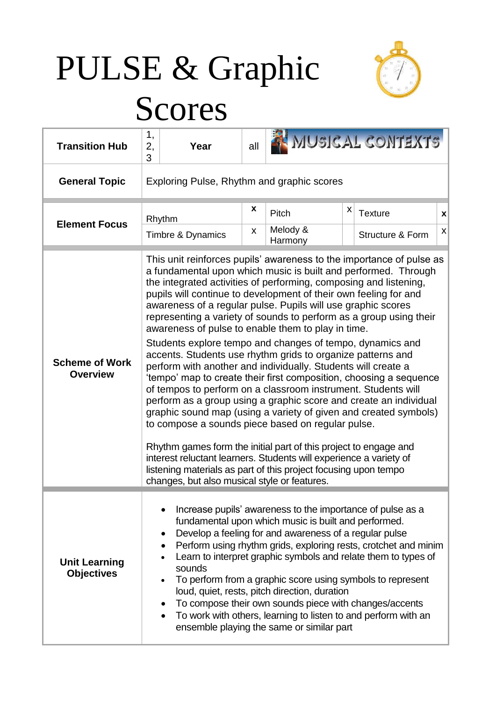# PULSE & Graphic



## Scores

| <b>Transition Hub</b>                     | 1,<br>2,<br>Year<br>3                                                                                                                                                                                                                                                                                                                                                                                                                                                                                                                                                                                                                                                                                                                                                                                                                                                                                                                                                                                                                                                                                                                                                                                                                                                      | all     |                                                                                                                                                                                                                                                                                                                                                                                                                                                                                                                                                                                                           |   | MUSICAL CONTEXTS                   |                                |  |
|-------------------------------------------|----------------------------------------------------------------------------------------------------------------------------------------------------------------------------------------------------------------------------------------------------------------------------------------------------------------------------------------------------------------------------------------------------------------------------------------------------------------------------------------------------------------------------------------------------------------------------------------------------------------------------------------------------------------------------------------------------------------------------------------------------------------------------------------------------------------------------------------------------------------------------------------------------------------------------------------------------------------------------------------------------------------------------------------------------------------------------------------------------------------------------------------------------------------------------------------------------------------------------------------------------------------------------|---------|-----------------------------------------------------------------------------------------------------------------------------------------------------------------------------------------------------------------------------------------------------------------------------------------------------------------------------------------------------------------------------------------------------------------------------------------------------------------------------------------------------------------------------------------------------------------------------------------------------------|---|------------------------------------|--------------------------------|--|
| <b>General Topic</b>                      | Exploring Pulse, Rhythm and graphic scores                                                                                                                                                                                                                                                                                                                                                                                                                                                                                                                                                                                                                                                                                                                                                                                                                                                                                                                                                                                                                                                                                                                                                                                                                                 |         |                                                                                                                                                                                                                                                                                                                                                                                                                                                                                                                                                                                                           |   |                                    |                                |  |
| <b>Element Focus</b>                      | Rhythm<br>Timbre & Dynamics                                                                                                                                                                                                                                                                                                                                                                                                                                                                                                                                                                                                                                                                                                                                                                                                                                                                                                                                                                                                                                                                                                                                                                                                                                                | X<br>X. | Pitch<br>Melody &                                                                                                                                                                                                                                                                                                                                                                                                                                                                                                                                                                                         | X | <b>Texture</b><br>Structure & Form | X<br>$\boldsymbol{\mathsf{x}}$ |  |
| <b>Scheme of Work</b><br><b>Overview</b>  | This unit reinforces pupils' awareness to the importance of pulse as<br>a fundamental upon which music is built and performed. Through<br>the integrated activities of performing, composing and listening,<br>pupils will continue to development of their own feeling for and<br>awareness of a regular pulse. Pupils will use graphic scores<br>representing a variety of sounds to perform as a group using their<br>awareness of pulse to enable them to play in time.<br>Students explore tempo and changes of tempo, dynamics and<br>accents. Students use rhythm grids to organize patterns and<br>perform with another and individually. Students will create a<br>'tempo' map to create their first composition, choosing a sequence<br>of tempos to perform on a classroom instrument. Students will<br>perform as a group using a graphic score and create an individual<br>graphic sound map (using a variety of given and created symbols)<br>to compose a sounds piece based on regular pulse.<br>Rhythm games form the initial part of this project to engage and<br>interest reluctant learners. Students will experience a variety of<br>listening materials as part of this project focusing upon tempo<br>changes, but also musical style or features. |         | Harmony                                                                                                                                                                                                                                                                                                                                                                                                                                                                                                                                                                                                   |   |                                    |                                |  |
| <b>Unit Learning</b><br><b>Objectives</b> | $\bullet$<br>٠<br>sounds<br>$\bullet$                                                                                                                                                                                                                                                                                                                                                                                                                                                                                                                                                                                                                                                                                                                                                                                                                                                                                                                                                                                                                                                                                                                                                                                                                                      |         | Increase pupils' awareness to the importance of pulse as a<br>fundamental upon which music is built and performed.<br>Develop a feeling for and awareness of a regular pulse<br>Perform using rhythm grids, exploring rests, crotchet and minim<br>Learn to interpret graphic symbols and relate them to types of<br>To perform from a graphic score using symbols to represent<br>loud, quiet, rests, pitch direction, duration<br>To compose their own sounds piece with changes/accents<br>To work with others, learning to listen to and perform with an<br>ensemble playing the same or similar part |   |                                    |                                |  |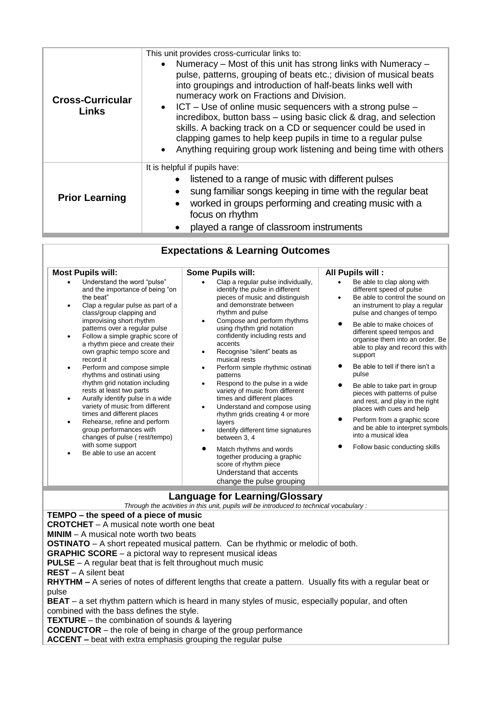| <b>Cross-Curricular</b><br><b>Links</b> | This unit provides cross-curricular links to:<br>Numeracy - Most of this unit has strong links with Numeracy -<br>pulse, patterns, grouping of beats etc.; division of musical beats<br>into groupings and introduction of half-beats links well with<br>numeracy work on Fractions and Division.<br>$ICT - Use of online music sequences with a strong pulse -$<br>incredibox, button bass - using basic click & drag, and selection<br>skills. A backing track on a CD or sequencer could be used in<br>clapping games to help keep pupils in time to a regular pulse<br>Anything requiring group work listening and being time with others<br>$\bullet$ |  |
|-----------------------------------------|------------------------------------------------------------------------------------------------------------------------------------------------------------------------------------------------------------------------------------------------------------------------------------------------------------------------------------------------------------------------------------------------------------------------------------------------------------------------------------------------------------------------------------------------------------------------------------------------------------------------------------------------------------|--|
| <b>Prior Learning</b>                   | It is helpful if pupils have:<br>listened to a range of music with different pulses<br>sung familiar songs keeping in time with the regular beat<br>worked in groups performing and creating music with a<br>focus on rhythm<br>played a range of classroom instruments                                                                                                                                                                                                                                                                                                                                                                                    |  |

| <b>Most Pupils will:</b>                                                                                                                                                                                                                                                                                                                                                                                                                                                                                                                                                                                                                                                                                              | <b>Some Pupils will:</b>                                                                                                                                                                                                                                                                                                                                                                                                                                                                                                                                                                                                                                                                                                                                                                              | All Pupils will:                                                                                                                                                                                                                                                                                                                                                                                                                                                                                                                                                                                                                   |  |  |
|-----------------------------------------------------------------------------------------------------------------------------------------------------------------------------------------------------------------------------------------------------------------------------------------------------------------------------------------------------------------------------------------------------------------------------------------------------------------------------------------------------------------------------------------------------------------------------------------------------------------------------------------------------------------------------------------------------------------------|-------------------------------------------------------------------------------------------------------------------------------------------------------------------------------------------------------------------------------------------------------------------------------------------------------------------------------------------------------------------------------------------------------------------------------------------------------------------------------------------------------------------------------------------------------------------------------------------------------------------------------------------------------------------------------------------------------------------------------------------------------------------------------------------------------|------------------------------------------------------------------------------------------------------------------------------------------------------------------------------------------------------------------------------------------------------------------------------------------------------------------------------------------------------------------------------------------------------------------------------------------------------------------------------------------------------------------------------------------------------------------------------------------------------------------------------------|--|--|
| Understand the word "pulse"<br>and the importance of being "on<br>the beat"<br>Clap a regular pulse as part of a<br>class/group clapping and<br>improvising short rhythm<br>patterns over a regular pulse<br>Follow a simple graphic score of<br>a rhythm piece and create their<br>own graphic tempo score and<br>record it<br>Perform and compose simple<br>$\bullet$<br>rhythms and ostinati using<br>rhythm grid notation including<br>rests at least two parts<br>Aurally identify pulse in a wide<br>variety of music from different<br>times and different places<br>Rehearse, refine and perform<br>group performances with<br>changes of pulse (rest/tempo)<br>with some support<br>Be able to use an accent | Clap a regular pulse individually,<br>identify the pulse in different<br>pieces of music and distinguish<br>and demonstrate between<br>rhythm and pulse<br>Compose and perform rhythms<br>٠<br>using rhythm grid notation<br>confidently including rests and<br>accents<br>Recognise "silent" beats as<br>٠<br>musical rests<br>Perform simple rhythmic ostinati<br>$\bullet$<br>patterns<br>Respond to the pulse in a wide<br>variety of music from different<br>times and different places<br>Understand and compose using<br>$\bullet$<br>rhythm grids creating 4 or more<br>layers<br>Identify different time signatures<br>between 3, 4<br>$\bullet$<br>Match rhythms and words<br>together producing a graphic<br>score of rhythm piece<br>Understand that accents<br>change the pulse grouping | Be able to clap along with<br>different speed of pulse<br>Be able to control the sound on<br>$\bullet$<br>an instrument to play a regular<br>pulse and changes of tempo<br>Be able to make choices of<br>different speed tempos and<br>organise them into an order. Be<br>able to play and record this with<br>support<br>Be able to tell if there isn't a<br>pulse<br>Be able to take part in group<br>pieces with patterns of pulse<br>and rest, and play in the right<br>places with cues and help<br>Perform from a graphic score<br>and be able to interpret symbols<br>into a musical idea<br>Follow basic conducting skills |  |  |

#### **Language for Learning/Glossary**

*Through the activities in this unit, pupils will be introduced to technical vocabulary :* **TEMPO – the speed of a piece of music CROTCHET** – A musical note worth one beat **MINIM** – A musical note worth two beats **OSTINATO** – A short repeated musical pattern. Can be rhythmic or melodic of both. **GRAPHIC SCORE** – a pictoral way to represent musical ideas **PULSE** – A regular beat that is felt throughout much music **REST** – A silent beat **RHYTHM –** A series of notes of different lengths that create a pattern. Usually fits with a regular beat or pulse **BEAT** – a set rhythm pattern which is heard in many styles of music, especially popular, and often combined with the bass defines the style. **TEXTURE** – the combination of sounds & layering **CONDUCTOR** – the role of being in charge of the group performance **ACCENT –** beat with extra emphasis grouping the regular pulse